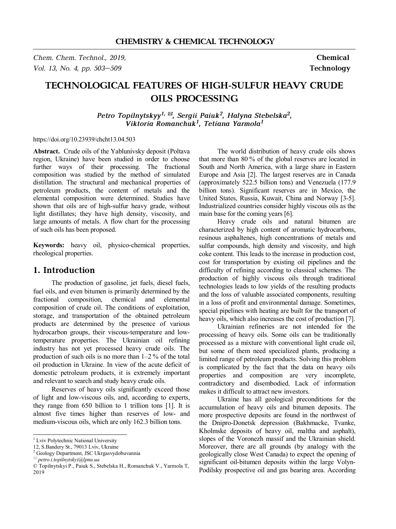*Chem. Chem. Technol., 2019,* **Chemical**  *Vol. 13, No. 4, pp. 503–509* **Technology** 

# **TECHNOLOGICAL FEATURES OF HIGH-SULFUR HEAVY CRUDE OILS PROCESSING**

*Petro Topilnytskyy1, \*, Sergii Paiuk<sup>2</sup> , Halyna Stebelska<sup>2</sup> , Viktoria Romanchuk<sup>1</sup> , Tetiana Yarmola<sup>1</sup>*

https://doi.org/10.23939/chcht13.04.503

Abstract. Crude oils of the Yablunivsky deposit (Poltava region, Ukraine) have been studied in order to choose further ways of their processing. The fractional composition was studied by the method of simulated distillation. The structural and mechanical properties of petroleum products, the content of metals and the elemental composition were determined. Studies have shown that oils are of high-sulfur heavy grade, without light distillates; they have high density, viscosity, and large amounts of metals. A flow chart for the processing of such oils has been proposed.

**Keywords:** heavy oil, physico-chemical properties, rheological properties.

## **1. Introduction**

The production of gasoline, jet fuels, diesel fuels, fuel oils, and even bitumen is primarily determined by the fractional composition, chemical and elemental composition of crude oil. The conditions of exploitation, storage, and transportation of the obtained petroleum products are determined by the presence of various hydrocarbon groups, their viscous-temperature and lowtemperature properties. The Ukrainian oil refining industry has not yet processed heavy crude oils. The production of such oils is no more than 1–2 % of the total oil production in Ukraine. In view of the acute deficit of domestic petroleum products, it is extremely important and relevant to search and study heavy crude oils.

Reserves of heavy oils significantly exceed those of light and low-viscous oils, and, according to experts, they range from 650 billion to 1 trillion tons [1]. It is almost five times higher than reserves of low- and medium-viscous oils, which are only 162.3 billion tons.

The world distribution of heavy crude oils shows that more than 80 % of the global reserves are located in South and North America, with a large share in Eastern Europe and Asia [2]. The largest reserves are in Canada (approximately 522.5 billion tons) and Venezuela (177.9 billion tons). Significant reserves are in Mexico, the United States, Russia, Kuwait, China and Norway [3-5]. Industrialized countries consider highly viscous oils as the main base for the coming years [6].

Heavy crude oils and natural bitumen are characterized by high content of aromatic hydrocarbons, resinous asphaltenes, high concentrations of metals and sulfur compounds, high density and viscosity, and high coke content. This leads to the increase in production cost, cost for transportation by existing oil pipelines and the difficulty of refining according to classical schemes. The production of highly viscous oils through traditional technologies leads to low yields of the resulting products and the loss of valuable associated components, resulting in a loss of profit and environmental damage. Sometimes, special pipelines with heating are built for the transport of heavy oils, which also increases the cost of production [7].

Ukrainian refineries are not intended for the processing of heavy oils. Some oils can be traditionally processed as a mixture with conventional light crude oil, but some of them need specialized plants, producing a limited range of petroleum products. Solving this problem is complicated by the fact that the data on heavy oils properties and composition are very incomplete, contradictory and disembodied. Lack of information makes it difficult to attract new investors.

Ukraine has all geological preconditions for the accumulation of heavy oils and bitumen deposits. The more prospective deposits are found in the northwest of the Dnipro-Donetsk depression (Bakhmacke, Tvanke, Kholmske deposits of heavy oil, maltha and asphalt), slopes of the Voronezh massif and the Ukrainian shield. Moreover, there are all grounds (by analogy with the geologically close West Canada) to expect the opening of significant oil-bitumen deposits within the large Volyn-Podilsky prospective oil and gas bearing area. According

<sup>&</sup>lt;sup>1</sup> Lviv Polytechnic National University

<sup>12,</sup> S.Bandery St., 79013 Lviv, Ukraine

<sup>&</sup>lt;sup>2</sup> Geology Department, JSC Ukrgasvydobuvannia

*<sup>\*</sup> petro.i.topilnytskyi@lpnu.ua*

<sup>©</sup> Topilnytskyi P., Paiuk S., Stebelska H., Romanchuk V., Yarmola T, 2019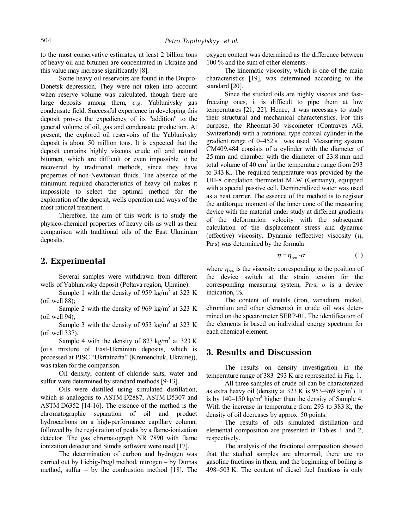to the most conservative estimates, at least 2 billion tons of heavy oil and bitumen are concentrated in Ukraine and this value may increase significantly [8].

Some heavy oil reservoirs are found in the Dnipro-Donetsk depression. They were not taken into account when reserve volume was calculated, though there are large deposits among them, *e.g.* Yablunivsky gas condensate field. Successful experience in developing this deposit proves the expediency of its "addition" to the general volume of oil, gas and condensate production. At present, the explored oil reservoirs of the Yablunivsky deposit is about 50 million tons. It is expected that the deposit contains highly viscous crude oil and natural bitumen, which are difficult or even impossible to be recovered by traditional methods, since they have properties of non-Newtonian fluids. The absence of the minimum required characteristics of heavy oil makes it impossible to select the optimal method for the exploration of the deposit, wells operation and ways of the most rational treatment.

Therefore, the aim of this work is to study the physico-chemical properties of heavy oils as well as their comparison with traditional oils of the East Ukrainian deposits.

### **2. Experimental**

Several samples were withdrawn from different wells of Yablunivsky deposit (Poltava region, Ukraine):

Sample 1 with the density of 959 kg/m<sup>3</sup> at 323 K (oil well 88);

Sample 2 with the density of 969 kg/m<sup>3</sup> at 323 K (oil well 94);

Sample 3 with the density of 953 kg/m<sup>3</sup> at 323 K (oil well 337).

Sample 4 with the density of 823 kg/m<sup>3</sup> at 323 K (oils mixture of East-Ukrainian deposits, which is processed at PJSC "Ukrtatnafta" (Kremenchuk, Ukraine)), was taken for the comparison.

Oil density, content of chloride salts, water and sulfur were determined by standard methods [9-13].

Oils were distilled using simulated distillation, which is analogous to ASTM D2887, ASTM D5307 and ASTM D6352 [14-16]. The essence of the method is the chromatographic separation of oil and product hydrocarbons on a high-performance capillary column, followed by the registration of peaks by a flame-ionization detector. The gas chromatograph NR 7890 with flame ionization detector and Simdis software were used [17].

The determination of carbon and hydrogen was carried out by Liebig-Pregl method, nitrogen – by Dumas method, sulfur – by the combustion method  $[18]$ . The oxygen content was determined as the difference between 100 % and the sum of other elements.

The kinematic viscosity, which is one of the main characteristics [19], was determined according to the standard [20].

Since the studied oils are highly viscous and fastfreezing ones, it is difficult to pipe them at low temperatures [21, 22]. Hence, it was necessary to study their structural and mechanical characteristics. For this purpose, the Rheomat-30 viscometer (Contraves AG, Switzerland) with a rotational type coaxial cylinder in the gradient range of  $0-452$  s<sup>-1</sup> was used. Measuring system CM409.484 consists of a cylinder with the diameter of 25 mm and chamber with the diameter of 23.8 mm and total volume of 40 cm<sup>3</sup> in the temperature range from 293 to 343 K. The required temperature was provided by the UH-8 circulation thermostat MLW (Germany), equipped with a special passive cell. Demineralized water was used as a heat carrier. The essence of the method is to register the antitorque moment of the inner cone of the measuring device with the material under study at different gradients of the deformation velocity with the subsequent calculation of the displacement stress and dynamic (effective) viscosity. Dynamic (effective) viscosity (*h*, Pa·s) was determined by the formula:

$$
\eta = \eta_{\text{rep}} \cdot \alpha \tag{1}
$$

where  $\eta_{rep}$  is the viscosity corresponding to the position of the device switch at the strain tension for the corresponding measuring system, Pa·s; *α* is a device indication, %.

The content of metals (iron, vanadium, nickel, chromium and other elements) in crude oil was determined on the spectrometer SERP-01. The identification of the elements is based on individual energy spectrum for each chemical element.

## **3. Results and Discussion**

The results on density investigation in the temperature range of 383–293 K are represented in Fig. 1.

All three samples of crude oil can be characterized as extra heavy oil (density at  $323 \text{ K}$  is  $953-969 \text{ kg/m}^3$ ). It is by 140–150 kg/m<sup>3</sup> higher than the density of Sample 4. With the increase in temperature from 293 to 383 K, the density of oil decreases by approx. 50 points.

The results of oils simulated distillation and elemental composition are presented in Tables 1 and 2, respectively.

The analysis of the fractional composition showed that the studied samples are abnormal; there are no gasoline fractions in them, and the beginning of boiling is 498–503 K. The content of diesel fuel fractions is only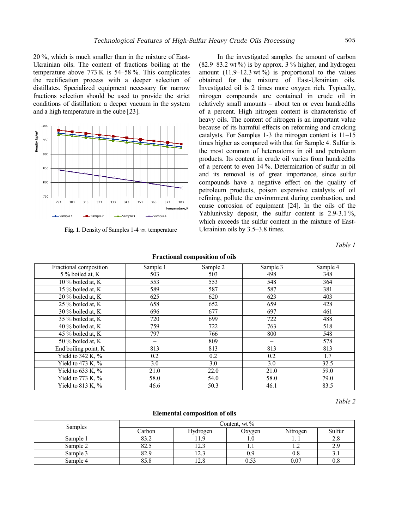20 %, which is much smaller than in the mixture of East-Ukrainian oils. The content of fractions boiling at the temperature above 773 K is 54–58 %. This complicates the rectification process with a deeper selection of distillates. Specialized equipment necessary for narrow fractions selection should be used to provide the strict conditions of distillation: a deeper vacuum in the system and a high temperature in the cube [23].



**Fig. 1**. Density of Samples 1-4 *vs*. temperature

In the investigated samples the amount of carbon  $(82.9-83.2 \text{ wt\%})$  is by approx. 3 % higher, and hydrogen amount  $(11.9-12.3 \text{ wt\%})$  is proportional to the values obtained for the mixture of East-Ukrainian oils. Investigated oil is 2 times more oxygen rich. Typically, nitrogen compounds are contained in crude oil in relatively small amounts – about ten or even hundredths of a percent. High nitrogen content is characteristic of heavy oils. The content of nitrogen is an important value because of its harmful effects on reforming and cracking catalysts. For Samples 1-3 the nitrogen content is 11–15 times higher as compared with that for Sample 4. Sulfur is the most common of heteroatoms in oil and petroleum products. Its content in crude oil varies from hundredths of a percent to even 14 %. Determination of sulfur in oil and its removal is of great importance, since sulfur compounds have a negative effect on the quality of petroleum products, poison expensive catalysts of oil refining, pollute the environment during combustion, and cause corrosion of equipment [24]. In the oils of the Yablunivsky deposit, the sulfur content is 2.9-3.1%, which exceeds the sulfur content in the mixture of East-Ukrainian oils by 3.5–3.8 times.

*Table 1* 

| <b>Fractional composition of oils</b> |  |
|---------------------------------------|--|
|                                       |  |

| Fractional composition | Sample 1 | Sample 2 | Sample 3 | Sample 4 |
|------------------------|----------|----------|----------|----------|
| 5 % boiled at, K       | 503      | 503      | 498      | 348      |
| 10 % boiled at, K      | 553      | 553      | 548      | 364      |
| 15 % boiled at, K      | 589      | 587      | 587      | 381      |
| 20 % boiled at, K      | 625      | 620      | 623      | 403      |
| 25 % boiled at, K      | 658      | 652      | 659      | 428      |
| 30 % boiled at, K      | 696      | 677      | 697      | 461      |
| 35 % boiled at, K      | 720      | 699      | 722      | 488      |
| 40 % boiled at, K      | 759      | 722      | 763      | 518      |
| 45 % boiled at, K      | 797      | 766      | 800      | 548      |
| 50 % boiled at, K      |          | 809      |          | 578      |
| End boiling point, K   | 813      | 813      | 813      | 813      |
| Yield to 342 K, %      | 0.2      | 0.2      | 0.2      | 1.7      |
| Yield to 473 K, $\%$   | 3.0      | 3.0      | 3.0      | 32.5     |
| Yield to $633$ K, $%$  | 21.0     | 22.0     | 21.0     | 59.0     |
| Yield to 773 K, %      | 58.0     | 54.0     | 58.0     | 79.0     |
| Yield to 813 K, $%$    | 46.6     | 50.3     | 46.1     | 83.5     |

*Table 2*

### **Elemental composition of oils**

| <b>Samples</b> | Content, wt % |          |        |          |            |
|----------------|---------------|----------|--------|----------|------------|
|                | Carbon        | Hydrogen | Oxygen | Nitrogen | Sulfur     |
| Sample 1       | 83.2          |          |        |          |            |
| Sample 2       | 82.5          | ل        |        |          |            |
| Sample 3       | 82.9          | 12.3     | 0.9    | v.c      | 3.1        |
| Sample 4       | 85.8          | 12.8     | 0.53   | 0.07     | $0.\delta$ |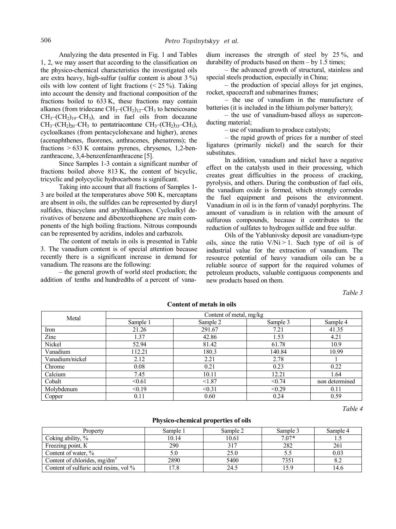Analyzing the data presented in Fig. 1 and Tables 1, 2, we may assert that according to the classification on the physico-chemical characteristics the investigated oils are extra heavy, high-sulfur (sulfur content is about 3 %) oils with low content of light fractions  $(< 25 \%)$ . Taking into account the density and fractional composition of the fractions boiled to 633 K, these fractions may contain alkanes (from tridecane  $CH_3$ – $CH_2$ )<sub>12</sub>– $CH_3$  to heneicosane  $CH_3$ – $(CH_2)_{19}$ – $CH_3$ ), and in fuel oils from docazane  $CH_3$ – $CH_2$ )<sub>20</sub>– $CH_3$  to pentatriacontane  $CH_3$ – $CH_2$ )<sub>33</sub>– $CH_3$ ), cycloalkanes (from pentacyclohexane and higher), arenes (acenaphthenes, fluorenes, anthracenes, phenatrens); the fractions  $> 633$  K contains pyrenes, chrysenes, 1,2-benzanthracene, 3,4-benzenfenanthracene [5].

Since Samples 1-3 contain a significant number of fractions boiled above 813 K, the content of bicyclic, tricyclic and polycyclic hydrocarbons is significant.

Taking into account that all fractions of Samples 1- 3 are boiled at the temperatures above 500 K, mercaptans are absent in oils, the sulfides can be represented by diaryl sulfides, thiacyclans and arylthiaalkanes. Cycloalkyl derivatives of benzene and dibenzothiophene are main components of the high boiling fractions. Nitrous compounds can be represented by acridins, indoles and carbazols.

The content of metals in oils is presented in Table 3. The vanadium content is of special attention because recently there is a significant increase in demand for vanadium. The reasons are the following:

– the general growth of world steel production; the addition of tenths and hundredths of a percent of vana-

dium increases the strength of steel by 25 %, and durability of products based on them – by 1.5 times;

– the advanced growth of structural, stainless and special steels production, especially in China;

– the production of special alloys for jet engines, rocket, spacecraft and submarines frames;

– the use of vanadium in the manufacture of batteries (it is included in the lithium polymer battery);

– the use of vanadium-based alloys as superconducting material;

– use of vanadium to produce catalysts;

– the rapid growth of prices for a number of steel ligatures (primarily nickel) and the search for their substitutes.

In addition, vanadium and nickel have a negative effect on the catalysts used in their processing, which creates great difficulties in the process of cracking, pyrolysis, and others. During the combustion of fuel oils, the vanadium oxide is formed, which strongly corrodes the fuel equipment and poisons the environment. Vanadium in oil is in the form of vanadyl porphyrins. The amount of vanadium is in relation with the amount of sulfurous compounds, because it contributes to the reduction of sulfates to hydrogen sulfide and free sulfur.

Oils of the Yablunivsky deposit are vanadium-type oils, since the ratio  $V/N$ i > 1. Such type of oil is of industrial value for the extraction of vanadium. The resource potential of heavy vanadium oils can be a reliable source of support for the required volumes of petroleum products, valuable contiguous components and new products based on them.

*Table 3* 

| Metal           | Content of metal, mg/kg |          |          |                |  |
|-----------------|-------------------------|----------|----------|----------------|--|
|                 | Sample 1                | Sample 2 | Sample 3 | Sample 4       |  |
| Iron            | 21.26                   | 291.67   | 7.21     | 41.35          |  |
| Zinc            | 1.37                    | 42.86    | 1.53     | 4.21           |  |
| Nickel          | 52.94                   | 81.42    | 61.78    | 10.9           |  |
| Vanadium        | 112.21                  | 180.3    | 140.84   | 10.99          |  |
| Vanadium/nickel | 2.12                    | 2.21     | 2.78     |                |  |
| Chrome          | 0.08                    | 0.21     | 0.23     | 0.22           |  |
| Calcium         | 7.45                    | 10.11    | 12.21    | 1.64           |  |
| Cobalt          | < 0.61                  | < 1.87   | < 0.74   | non determined |  |
| Molybdenum      | < 0.19                  | < 0.31   | < 0.29   | 0.11           |  |
| Copper          | 0.11                    | 0.60     | 0.24     | 0.59           |  |

#### **Content of metals in oils**

*Table 4* 

### **Physico-chemical properties of oils**

| Property                               | Sample 1 | Sample 2 | Sample 3 | Sample 4 |
|----------------------------------------|----------|----------|----------|----------|
| Coking ability, %                      | 10.14    | 10.61    | $7.07*$  |          |
| Freezing point, K                      | 290      | 317      | 282      | 261      |
| Content of water, %                    |          | 25.0     |          | 0.03     |
| Content of chlorides, $mg/dm3$         | 2890     | 5400     | 7351     |          |
| Content of sulfuric acid resins, vol % |          | 24.5     | 59       |          |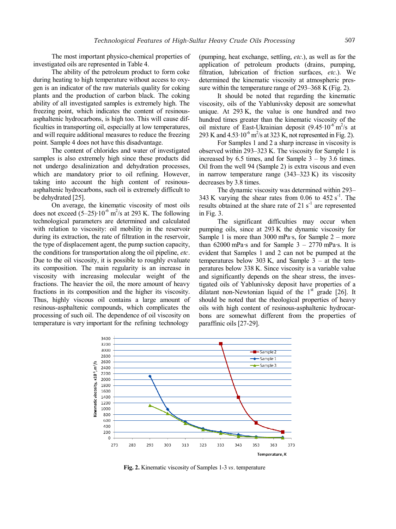The most important physico-chemical properties of investigated oils are represented in Table 4.

The ability of the petroleum product to form coke during heating to high temperature without access to oxygen is an indicator of the raw materials quality for coking plants and the production of carbon black. The coking ability of all investigated samples is extremely high. The freezing point, which indicates the content of resinousasphaltenic hydrocarbons, is high too. This will cause difficulties in transporting oil, especially at low temperatures, and will require additional measures to reduce the freezing point. Sample 4 does not have this disadvantage.

The content of chlorides and water of investigated samples is also extremely high since these products did not undergo desalinization and dehydration processes, which are mandatory prior to oil refining. However, taking into account the high content of resinousasphaltenic hydrocarbons, such oil is extremely difficult to be dehydrated [25].

On average, the kinematic viscosity of most oils does not exceed  $(5-25) \cdot 10^{-6}$  m<sup>2</sup>/s at 293 K. The following technological parameters are determined and calculated with relation to viscosity: oil mobility in the reservoir during its extraction, the rate of filtration in the reservoir, the type of displacement agent, the pump suction capacity, the conditions for transportation along the oil pipeline, *etc*. Due to the oil viscosity, it is possible to roughly evaluate its composition. The main regularity is an increase in viscosity with increasing molecular weight of the fractions. The heavier the oil, the more amount of heavy fractions in its composition and the higher its viscosity. Thus, highly viscous oil contains a large amount of resinous-asphaltenic compounds, which complicates the processing of such oil. The dependence of oil viscosity on temperature is very important for the refining technology

(pumping, heat exchange, settling, *etc*.), as well as for the application of petroleum products (drains, pumping, filtration, lubrication of friction surfaces, *etc*.). We determined the kinematic viscosity at atmospheric pressure within the temperature range of 293–368 K (Fig. 2).

It should be noted that regarding the kinematic viscosity, oils of the Yablunivsky deposit are somewhat unique. At 293 K, the value is one hundred and two hundred times greater than the kinematic viscosity of the oil mixture of East-Ukrainian deposit  $(9.45 \cdot 10^{-6} \text{ m}^2/\text{s}$  at 293 K and  $4.53 \cdot 10^{-6}$  m<sup>2</sup>/s at 323 K, not represented in Fig. 2).

For Samples 1 and 2 a sharp increase in viscosity is observed within 293–323 K. The viscosity for Sample 1 is increased by  $6.5$  times, and for Sample  $3 - by 3.6$  times. Oil from the well 94 (Sample 2) is extra viscous and even in narrow temperature range (343–323 K) its viscosity decreases by 3.8 times.

The dynamic viscosity was determined within 293– 343 K varying the shear rates from  $0.06$  to  $452 \text{ s}^{-1}$ . The results obtained at the share rate of  $21 \text{ s}^{-1}$  are represented in Fig. 3.

The significant difficulties may occur when pumping oils, since at 293 K the dynamic viscosity for Sample 1 is more than  $3000$  mPa·s, for Sample  $2$  – more than  $62000$  mPa·s and for Sample  $3 - 2770$  mPa·s. It is evident that Samples 1 and 2 can not be pumped at the temperatures below 303 K, and Sample  $3 - at$  the temperatures below 338 K. Since viscosity is a variable value and significantly depends on the shear stress, the investigated oils of Yablunivsky deposit have properties of a dilatant non-Newtonian liquid of the  $1<sup>st</sup>$  grade [26]. It should be noted that the rheological properties of heavy oils with high content of resinous-asphaltenic hydrocarbons are somewhat different from the properties of paraffinic oils [27-29].



**Fig. 2.** Kinematic viscosity of Samples 1-3 *vs*. temperature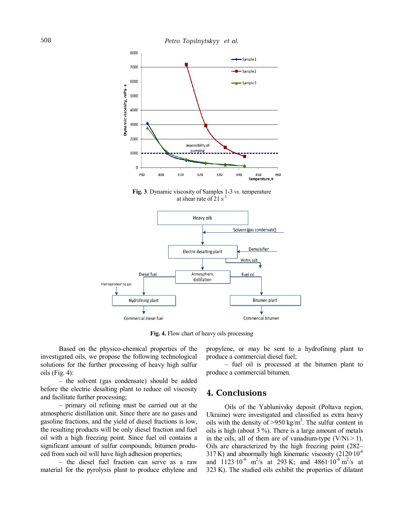

**Fig. 3**. Dynamic viscosity of Samples 1-3 *vs.* temperature at shear rate of 21  $s^{-1}$ 



**Fig. 4.** Flow chart of heavy oils processing

Based on the physico-chemical properties of the investigated oils, we propose the following technological solutions for the further processing of heavy high sulfur oils (Fig. 4):

– the solvent (gas condensate) should be added before the electric desalting plant to reduce oil viscosity and facilitate further processing;

– primary oil refining must be carried out at the atmospheric distillation unit. Since there are no gases and gasoline fractions, and the yield of diesel fractions is low, the resulting products will be only diesel fraction and fuel oil with a high freezing point. Since fuel oil contains a significant amount of sulfur compounds, bitumen produced from such oil will have high adhesion properties;

– the diesel fuel fraction can serve as a raw material for the pyrolysis plant to produce ethylene and propylene, or may be sent to a hydrofining plant to produce a commercial diesel fuel;

– fuel oil is processed at the bitumen plant to produce a commercial bitumen.

# **4. Conclusions**

Oils of the Yablunivsky deposit (Poltava region, Ukraine) were investigated and classified as extra heavy oils with the density of  $>950$  kg/m<sup>3</sup>. The sulfur content in oils is high (about 3 %). There is a large amount of metals in the oils, all of them are of vanadium-type  $(V/Ni > 1)$ . Oils are characterized by the high freezing point (282– 317 K) and abnormally high kinematic viscosity  $(2120 \cdot 10^{-6})$ and  $1123 \cdot 10^{-6}$  m<sup>2</sup>/s at 293 K; and 4861 $\cdot 10^{-6}$  m<sup>2</sup>/s at 323 K). The studied oils exhibit the properties of dilatant